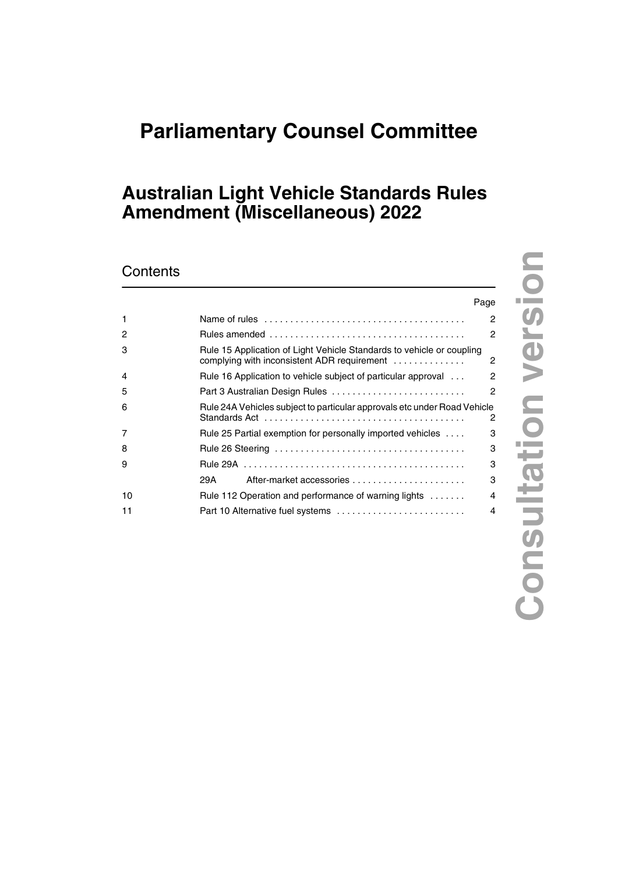# **Parliamentary Counsel Committee**

## **Australian Light Vehicle Standards Rules Amendment (Miscellaneous) 2022**

### **Contents**

|    | Page                                                                                                                 |   |
|----|----------------------------------------------------------------------------------------------------------------------|---|
| 1  |                                                                                                                      | 2 |
| 2  |                                                                                                                      | 2 |
| 3  | Rule 15 Application of Light Vehicle Standards to vehicle or coupling<br>complying with inconsistent ADR requirement | 2 |
| 4  | Rule 16 Application to vehicle subject of particular approval                                                        | 2 |
| 5  | Part 3 Australian Design Rules                                                                                       | 2 |
| 6  | Rule 24A Vehicles subject to particular approvals etc under Road Vehicle                                             | 2 |
| 7  | Rule 25 Partial exemption for personally imported vehicles                                                           | з |
| 8  |                                                                                                                      | 3 |
| 9  |                                                                                                                      | з |
|    | 29A                                                                                                                  | 3 |
| 10 | Rule 112 Operation and performance of warning lights                                                                 | 4 |
| 11 | Part 10 Alternative fuel systems                                                                                     | 4 |

**Consultation version**

**Consultation version**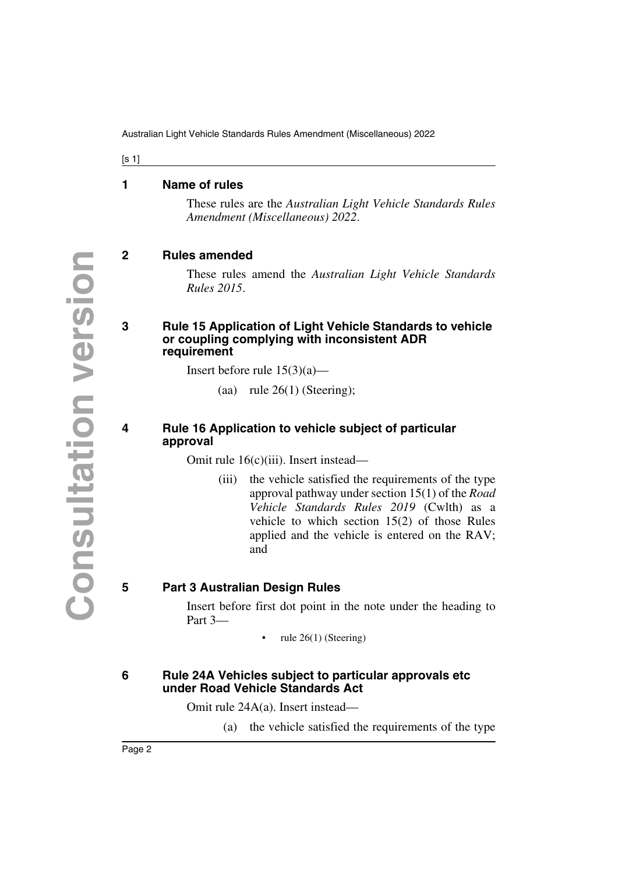Australian Light Vehicle Standards Rules Amendment (Miscellaneous) 2022

 $[s 1]$ 

#### <span id="page-1-0"></span>**1 Name of rules**

<span id="page-1-1"></span>These rules are the *Australian Light Vehicle Standards Rules Amendment (Miscellaneous) 2022*.

#### <span id="page-1-2"></span>**2 Rules amended**

<span id="page-1-3"></span>These rules amend the *Australian Light Vehicle Standards Rules 2015*.

#### <span id="page-1-5"></span><span id="page-1-4"></span>**3 Rule 15 Application of Light Vehicle Standards to vehicle or coupling complying with inconsistent ADR requirement**

Insert before rule  $15(3)(a)$ —

(aa) rule  $26(1)$  (Steering);

#### <span id="page-1-7"></span><span id="page-1-6"></span>**4 Rule 16 Application to vehicle subject of particular approval**

Omit rule 16(c)(iii). Insert instead—

(iii) the vehicle satisfied the requirements of the type approval pathway under section 15(1) of the *Road Vehicle Standards Rules 2019* (Cwlth) as a vehicle to which section 15(2) of those Rules applied and the vehicle is entered on the RAV; and

#### <span id="page-1-8"></span>**5 Part 3 Australian Design Rules**

<span id="page-1-9"></span>Insert before first dot point in the note under the heading to Part 3—

• rule 26(1) (Steering)

#### <span id="page-1-11"></span><span id="page-1-10"></span>**6 Rule 24A Vehicles subject to particular approvals etc under Road Vehicle Standards Act**

Omit rule 24A(a). Insert instead—

(a) the vehicle satisfied the requirements of the type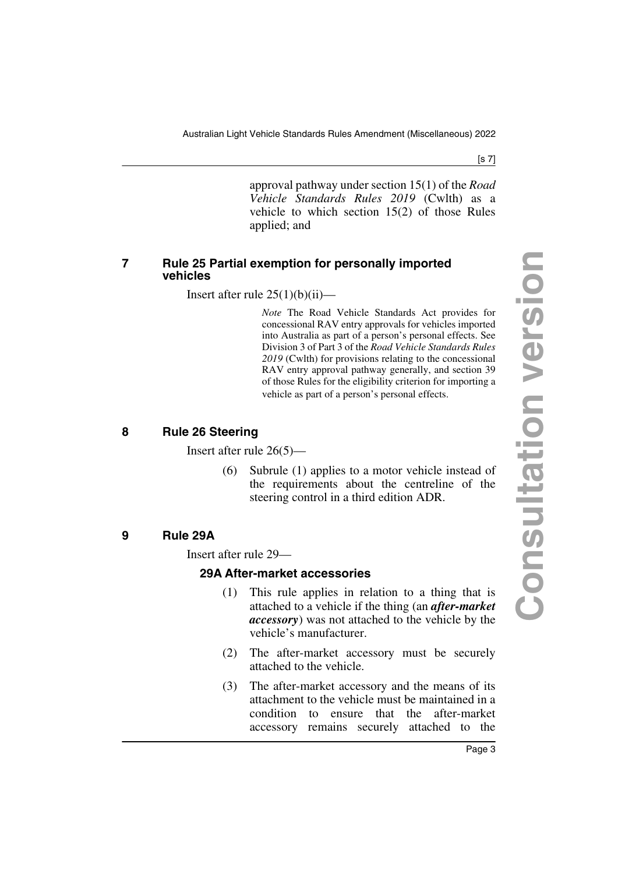Australian Light Vehicle Standards Rules Amendment (Miscellaneous) 2022

[s 7]

approval pathway under section 15(1) of the *Road Vehicle Standards Rules 2019* (Cwlth) as a vehicle to which section 15(2) of those Rules applied; and

#### <span id="page-2-1"></span><span id="page-2-0"></span>**7 Rule 25 Partial exemption for personally imported vehicles**

Insert after rule  $25(1)(b)(ii)$ —

*Note* The Road Vehicle Standards Act provides for concessional RAV entry approvals for vehicles imported into Australia as part of a person's personal effects. See Division 3 of Part 3 of the *Road Vehicle Standards Rules 2019* (Cwlth) for provisions relating to the concessional RAV entry approval pathway generally, and section 39 of those Rules for the eligibility criterion for importing a vehicle as part of a person's personal effects.

#### <span id="page-2-2"></span>**8 Rule 26 Steering**

<span id="page-2-3"></span>Insert after rule 26(5)—

(6) Subrule (1) applies to a motor vehicle instead of the requirements about the centreline of the steering control in a third edition ADR.

#### <span id="page-2-4"></span>**9 Rule 29A**

<span id="page-2-5"></span>Insert after rule 29—

#### <span id="page-2-7"></span><span id="page-2-6"></span>**29A After-market accessories**

- (1) This rule applies in relation to a thing that is attached to a vehicle if the thing (an *after-market accessory*) was not attached to the vehicle by the vehicle's manufacturer.
- (2) The after-market accessory must be securely attached to the vehicle.
- (3) The after-market accessory and the means of its attachment to the vehicle must be maintained in a condition to ensure that the after-market accessory remains securely attached to the

Page 3